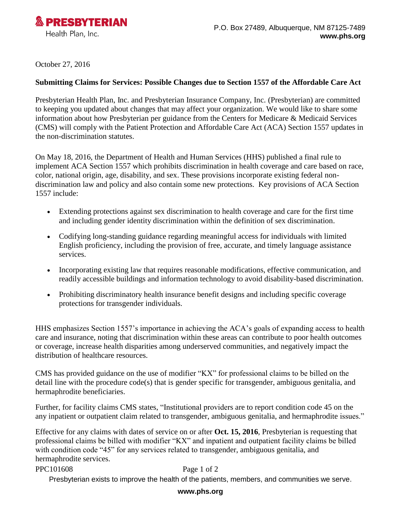

October 27, 2016

## **Submitting Claims for Services: Possible Changes due to Section 1557 of the Affordable Care Act**

Presbyterian Health Plan, Inc. and Presbyterian Insurance Company, Inc. (Presbyterian) are committed to keeping you updated about changes that may affect your organization. We would like to share some information about how Presbyterian per guidance from the Centers for Medicare & Medicaid Services (CMS) will comply with the Patient Protection and Affordable Care Act (ACA) Section 1557 updates in the non-discrimination statutes.

On May 18, 2016, the Department of Health and Human Services (HHS) published a final rule to implement ACA Section 1557 which prohibits discrimination in health coverage and care based on race, color, national origin, age, disability, and sex. These provisions incorporate existing federal nondiscrimination law and policy and also contain some new protections. Key provisions of ACA Section 1557 include:

- Extending protections against sex discrimination to health coverage and care for the first time and including gender identity discrimination within the definition of sex discrimination.
- Codifying long-standing guidance regarding meaningful access for individuals with limited English proficiency, including the provision of free, accurate, and timely language assistance services.
- Incorporating existing law that requires reasonable modifications, effective communication, and readily accessible buildings and information technology to avoid disability-based discrimination.
- Prohibiting discriminatory health insurance benefit designs and including specific coverage protections for transgender individuals.

HHS emphasizes Section 1557's importance in achieving the ACA's goals of expanding access to health care and insurance, noting that discrimination within these areas can contribute to poor health outcomes or coverage, increase health disparities among underserved communities, and negatively impact the distribution of healthcare resources.

CMS has provided guidance on the use of modifier "KX" for professional claims to be billed on the detail line with the procedure code(s) that is gender specific for transgender, ambiguous genitalia, and hermaphrodite beneficiaries.

Further, for facility claims CMS states, "Institutional providers are to report condition code 45 on the any inpatient or outpatient claim related to transgender, ambiguous genitalia, and hermaphrodite issues."

Effective for any claims with dates of service on or after **Oct. 15, 2016**, Presbyterian is requesting that professional claims be billed with modifier "KX" and inpatient and outpatient facility claims be billed with condition code "45" for any services related to transgender, ambiguous genitalia, and hermaphrodite services.

## PPC101608 Page 1 of 2

Presbyterian exists to improve the health of the patients, members, and communities we serve.

## **www.phs.org**